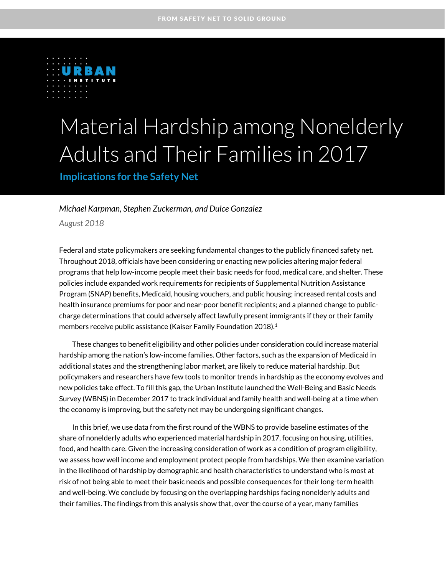

# Material Hardship among Nonelderly Adults and Their Families in 2017

### **Implications for the Safety Net**

#### *Michael Karpman, Stephen Zuckerman, and Dulce Gonzalez*

*August 2018*

Federal and state policymakers are seeking fundamental changes to the publicly financed safety net. Throughout 2018, officials have been considering or enacting new policies altering major federal programs that help low-income people meet their basic needs for food, medical care, and shelter. These policies include expanded work requirements for recipients of Supplemental Nutrition Assistance Program (SNAP) benefits, Medicaid, housing vouchers, and public housing; increased rental costs and health insurance premiums for poor and near-poor benefit recipients; and a planned change to publiccharge determinations that could adversely affect lawfully present immigrants if they or their family members receive public assistance (Kaiser Family Foundation 2018). 1

These changes to benefit eligibility and other policies under consideration could increase material hardship among the nation's low-income families. Other factors, such as the expansion of Medicaid in additional states and the strengthening labor market, are likely to reduce material hardship. But policymakers and researchers have few tools to monitor trends in hardship as the economy evolves and new policies take effect. To fill this gap, the Urban Institute launched the Well-Being and Basic Needs Survey (WBNS) in December 2017 to track individual and family health and well-being at a time when the economy is improving, but the safety net may be undergoing significant changes.

In this brief, we use data from the first round of the WBNS to provide baseline estimates of the share of nonelderly adults who experienced material hardship in 2017, focusing on housing, utilities, food, and health care. Given the increasing consideration of work as a condition of program eligibility, we assess how well income and employment protect people from hardships. We then examine variation in the likelihood of hardship by demographic and health characteristics to understand who is most at risk of not being able to meet their basic needs and possible consequences for their long-term health and well-being. We conclude by focusing on the overlapping hardships facing nonelderly adults and their families. The findings from this analysis show that, over the course of a year, many families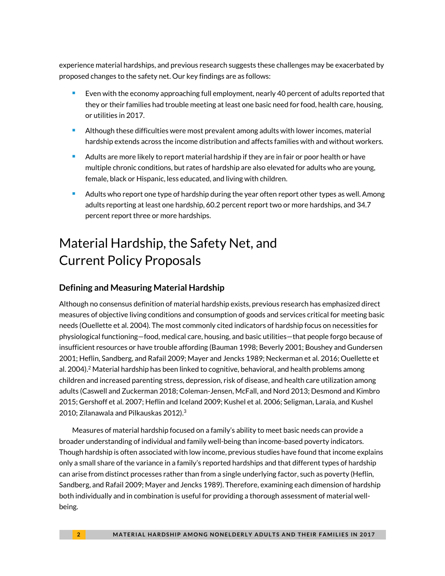experience material hardships, and previous research suggests these challenges may be exacerbated by proposed changes to the safety net. Our key findings are as follows:

- Even with the economy approaching full employment, nearly 40 percent of adults reported that they or their families had trouble meeting at least one basic need for food, health care, housing, or utilities in 2017.
- Although these difficulties were most prevalent among adults with lower incomes, material hardship extends across the income distribution and affects families with and without workers.
- **A** Adults are more likely to report material hardship if they are in fair or poor health or have multiple chronic conditions, but rates of hardship are also elevated for adults who are young, female, black or Hispanic, less educated, and living with children.
- Adults who report one type of hardship during the year often report other types as well. Among adults reporting at least one hardship, 60.2 percent report two or more hardships, and 34.7 percent report three or more hardships.

# Material Hardship, the Safety Net, and Current Policy Proposals

### **Defining and Measuring Material Hardship**

Although no consensus definition of material hardship exists, previous research has emphasized direct measures of objective living conditions and consumption of goods and services critical for meeting basic needs (Ouellette et al. 2004). The most commonly cited indicators of hardship focus on necessities for physiological functioning—food, medical care, housing, and basic utilities—that people forgo because of insufficient resources or have trouble affording (Bauman 1998; Beverly 2001; Boushey and Gundersen 2001; Heflin, Sandberg, and Rafail 2009; Mayer and Jencks 1989; Neckerman et al. 2016; Ouellette et al. 2004).<sup>2</sup> Material hardship has been linked to cognitive, behavioral, and health problems among children and increased parenting stress, depression, risk of disease, and health care utilization among adults (Caswell and Zuckerman 2018; Coleman-Jensen, McFall, and Nord 2013; Desmond and Kimbro 2015; Gershoff et al. 2007; Heflin and Iceland 2009; Kushel et al. 2006; Seligman, Laraia, and Kushel 2010; Zilanawala and Pilkauskas 2012). $3$ 

Measures of material hardship focused on a family's ability to meet basic needs can provide a broader understanding of individual and family well-being than income-based poverty indicators. Though hardship is often associated with low income, previous studies have found that income explains only a small share of the variance in a family's reported hardships and that different types of hardship can arise from distinct processes rather than from a single underlying factor, such as poverty (Heflin, Sandberg, and Rafail 2009; Mayer and Jencks 1989). Therefore, examining each dimension of hardship both individually and in combination is useful for providing a thorough assessment of material wellbeing.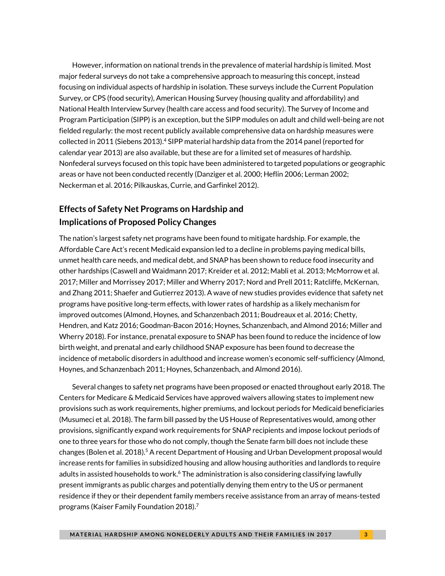However, information on national trends in the prevalence of material hardship is limited. Most major federal surveys do not take a comprehensive approach to measuring this concept, instead focusing on individual aspects of hardship in isolation. These surveys include the Current Population Survey, or CPS (food security), American Housing Survey (housing quality and affordability) and National Health Interview Survey (health care access and food security). The Survey of Income and Program Participation (SIPP) is an exception, but the SIPP modules on adult and child well-being are not fielded regularly: the most recent publicly available comprehensive data on hardship measures were collected in 2011 (Siebens 2013).<sup>4</sup> SIPP material hardship data from the 2014 panel (reported for calendar year 2013) are also available, but these are for a limited set of measures of hardship. Nonfederal surveys focused on this topic have been administered to targeted populations or geographic areas or have not been conducted recently (Danziger et al. 2000; Heflin 2006; Lerman 2002; Neckerman et al. 2016; Pilkauskas, Currie, and Garfinkel 2012).

## **Effects of Safety Net Programs on Hardship and Implications of Proposed Policy Changes**

The nation's largest safety net programs have been found to mitigate hardship. For example, the Affordable Care Act's recent Medicaid expansion led to a decline in problems paying medical bills, unmet health care needs, and medical debt, and SNAP has been shown to reduce food insecurity and other hardships (Caswell and Waidmann 2017; Kreider et al. 2012; Mabli et al. 2013; McMorrow et al. 2017; Miller and Morrissey 2017; Miller and Wherry 2017; Nord and Prell 2011; Ratcliffe, McKernan, and Zhang 2011; Shaefer and Gutierrez 2013). A wave of new studies provides evidence that safety net programs have positive long-term effects, with lower rates of hardship as a likely mechanism for improved outcomes (Almond, Hoynes, and Schanzenbach 2011; Boudreaux et al. 2016; Chetty, Hendren, and Katz 2016; Goodman-Bacon 2016; Hoynes, Schanzenbach, and Almond 2016; Miller and Wherry 2018). For instance, prenatal exposure to SNAP has been found to reduce the incidence of low birth weight, and prenatal and early childhood SNAP exposure has been found to decrease the incidence of metabolic disorders in adulthood and increase women's economic self-sufficiency (Almond, Hoynes, and Schanzenbach 2011; Hoynes, Schanzenbach, and Almond 2016).

Several changes to safety net programs have been proposed or enacted throughout early 2018. The Centers for Medicare & Medicaid Services have approved waivers allowing states to implement new provisions such as work requirements, higher premiums, and lockout periods for Medicaid beneficiaries (Musumeci et al. 2018). The farm bill passed by the US House of Representatives would, among other provisions, significantly expand work requirements for SNAP recipients and impose lockout periods of one to three years for those who do not comply, though the Senate farm bill does not include these changes (Bolen et al. 2018).<sup>5</sup> A recent Department of Housing and Urban Development proposal would increase rents for families in subsidized housing and allow housing authorities and landlords to require adults in assisted households to work.<sup>6</sup> The administration is also considering classifying lawfully present immigrants as public charges and potentially denying them entry to the US or permanent residence if they or their dependent family members receive assistance from an array of means-tested programs (Kaiser Family Foundation 2018). 7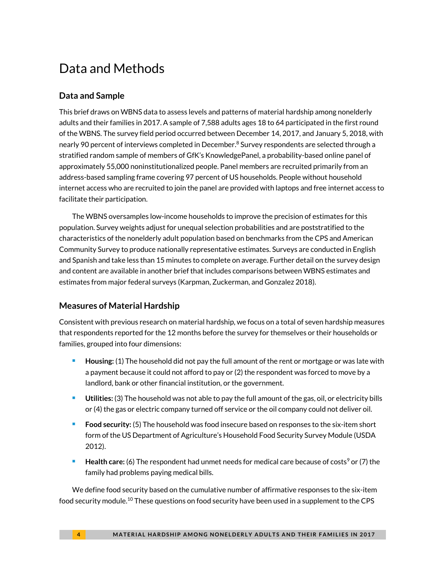# Data and Methods

### **Data and Sample**

This brief draws on WBNS data to assess levels and patterns of material hardship among nonelderly adults and their families in 2017. A sample of 7,588 adults ages 18 to 64 participated in the first round of the WBNS. The survey field period occurred between December 14, 2017, and January 5, 2018, with nearly 90 percent of interviews completed in December.<sup>8</sup> Survey respondents are selected through a stratified random sample of members of GfK's KnowledgePanel, a probability-based online panel of approximately 55,000 noninstitutionalized people. Panel members are recruited primarily from an address-based sampling frame covering 97 percent of US households. People without household internet access who are recruited to join the panel are provided with laptops and free internet access to facilitate their participation.

The WBNS oversamples low-income households to improve the precision of estimates for this population. Survey weights adjust for unequal selection probabilities and are poststratified to the characteristics of the nonelderly adult population based on benchmarks from the CPS and American Community Survey to produce nationally representative estimates. Surveys are conducted in English and Spanish and take less than 15 minutes to complete on average. Further detail on the survey design and content are available in another brief that includes comparisons between WBNS estimates and estimates from major federal surveys (Karpman, Zuckerman, and Gonzalez 2018).

### **Measures of Material Hardship**

Consistent with previous research on material hardship, we focus on a total of seven hardship measures that respondents reported for the 12 months before the survey for themselves or their households or families, grouped into four dimensions:

- **Housing:** (1) The household did not pay the full amount of the rent or mortgage or was late with a payment because it could not afford to pay or (2) the respondent was forced to move by a landlord, bank or other financial institution, or the government.
- **Utilities:** (3) The household was not able to pay the full amount of the gas, oil, or electricity bills or (4) the gas or electric company turned off service or the oil company could not deliver oil.
- **Food security:** (5) The household was food insecure based on responses to the six-item short form of the US Department of Agriculture's Household Food Security Survey Module (USDA 2012).
- **Health care:** (6) The respondent had unmet needs for medical care because of costs<sup>9</sup> or (7) the family had problems paying medical bills.

We define food security based on the cumulative number of affirmative responses to the six-item food security module.<sup>10</sup> These questions on food security have been used in a supplement to the CPS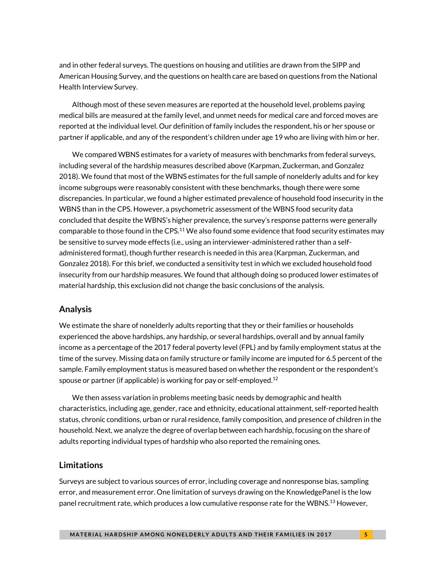and in other federal surveys. The questions on housing and utilities are drawn from the SIPP and American Housing Survey, and the questions on health care are based on questions from the National Health Interview Survey.

Although most of these seven measures are reported at the household level, problems paying medical bills are measured at the family level, and unmet needs for medical care and forced moves are reported at the individual level. Our definition of family includes the respondent, his or her spouse or partner if applicable, and any of the respondent's children under age 19 who are living with him or her.

We compared WBNS estimates for a variety of measures with benchmarks from federal surveys, including several of the hardship measures described above (Karpman, Zuckerman, and Gonzalez 2018). We found that most of the WBNS estimates for the full sample of nonelderly adults and for key income subgroups were reasonably consistent with these benchmarks, though there were some discrepancies. In particular, we found a higher estimated prevalence of household food insecurity in the WBNS than in the CPS. However, a psychometric assessment of the WBNS food security data concluded that despite the WBNS's higher prevalence, the survey's response patterns were generally comparable to those found in the CPS.<sup>11</sup> We also found some evidence that food security estimates may be sensitive to survey mode effects (i.e., using an interviewer-administered rather than a selfadministered format), though further research is needed in this area (Karpman, Zuckerman, and Gonzalez 2018). For this brief, we conducted a sensitivity test in which we excluded household food insecurity from our hardship measures. We found that although doing so produced lower estimates of material hardship, this exclusion did not change the basic conclusions of the analysis.

#### **Analysis**

We estimate the share of nonelderly adults reporting that they or their families or households experienced the above hardships, any hardship, or several hardships, overall and by annual family income as a percentage of the 2017 federal poverty level (FPL) and by family employment status at the time of the survey. Missing data on family structure or family income are imputed for 6.5 percent of the sample. Family employment status is measured based on whether the respondent or the respondent's spouse or partner (if applicable) is working for pay or self-employed.<sup>12</sup>

We then assess variation in problems meeting basic needs by demographic and health characteristics, including age, gender, race and ethnicity, educational attainment, self-reported health status, chronic conditions, urban or rural residence, family composition, and presence of children in the household. Next, we analyze the degree of overlap between each hardship, focusing on the share of adults reporting individual types of hardship who also reported the remaining ones.

### **Limitations**

Surveys are subject to various sources of error, including coverage and nonresponse bias, sampling error, and measurement error. One limitation of surveys drawing on the KnowledgePanel is the low panel recruitment rate, which produces a low cumulative response rate for the WBNS.<sup>13</sup> However,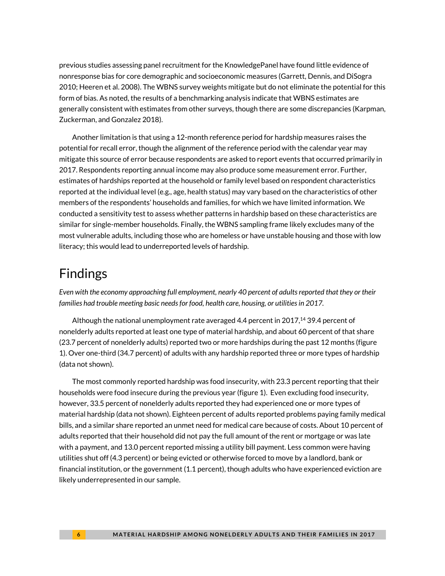previous studies assessing panel recruitment for the KnowledgePanel have found little evidence of nonresponse bias for core demographic and socioeconomic measures (Garrett, Dennis, and DiSogra 2010; Heeren et al. 2008). The WBNS survey weights mitigate but do not eliminate the potential for this form of bias. As noted, the results of a benchmarking analysis indicate that WBNS estimates are generally consistent with estimates from other surveys, though there are some discrepancies (Karpman, Zuckerman, and Gonzalez 2018).

Another limitation is that using a 12-month reference period for hardship measures raises the potential for recall error, though the alignment of the reference period with the calendar year may mitigate this source of error because respondents are asked to report events that occurred primarily in 2017. Respondents reporting annual income may also produce some measurement error. Further, estimates of hardships reported at the household or family level based on respondent characteristics reported at the individual level (e.g., age, health status) may vary based on the characteristics of other members of the respondents' households and families, for which we have limited information. We conducted a sensitivity test to assess whether patterns in hardship based on these characteristics are similar for single-member households. Finally, the WBNS sampling frame likely excludes many of the most vulnerable adults, including those who are homeless or have unstable housing and those with low literacy; this would lead to underreported levels of hardship.

# Findings

*Even with the economy approaching full employment, nearly 40 percent of adults reported that they or their families had trouble meeting basic needs for food, health care, housing, or utilities in 2017.*

Although the national unemployment rate averaged 4.4 percent in 2017,<sup>14</sup> 39.4 percent of nonelderly adults reported at least one type of material hardship, and about 60 percent of that share (23.7 percent of nonelderly adults) reported two or more hardships during the past 12 months (figure 1). Over one-third (34.7 percent) of adults with any hardship reported three or more types of hardship (data not shown).

The most commonly reported hardship was food insecurity, with 23.3 percent reporting that their households were food insecure during the previous year (figure 1). Even excluding food insecurity, however, 33.5 percent of nonelderly adults reported they had experienced one or more types of material hardship (data not shown). Eighteen percent of adults reported problems paying family medical bills, and a similar share reported an unmet need for medical care because of costs. About 10 percent of adults reported that their household did not pay the full amount of the rent or mortgage or was late with a payment, and 13.0 percent reported missing a utility bill payment. Less common were having utilities shut off (4.3 percent) or being evicted or otherwise forced to move by a landlord, bank or financial institution, or the government (1.1 percent), though adults who have experienced eviction are likely underrepresented in our sample.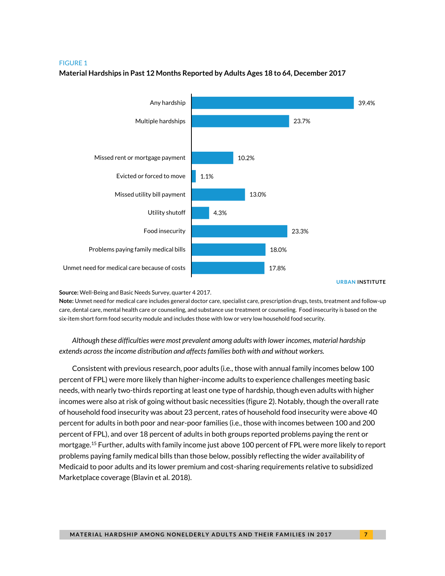#### FIGURE 1



#### **Material Hardships in Past 12 Months Reported by Adults Ages 18 to 64, December 2017**

**URBAN INSTITUTE**

#### **Source:** Well-Being and Basic Needs Survey, quarter 4 2017.

**Note:** Unmet need for medical care includes general doctor care, specialist care, prescription drugs, tests, treatment and follow-up care, dental care, mental health care or counseling, and substance use treatment or counseling. Food insecurity is based on the six-item short form food security module and includes those with low or very low household food security.

*Although these difficulties were most prevalent among adults with lower incomes, material hardship extends across the income distribution and affectsfamilies both with and without workers.*

Consistent with previous research, poor adults (i.e., those with annual family incomes below 100 percent of FPL) were more likely than higher-income adults to experience challenges meeting basic needs, with nearly two-thirds reporting at least one type of hardship, though even adults with higher incomes were also at risk of going without basic necessities (figure 2). Notably, though the overall rate of household food insecurity was about 23 percent, rates of household food insecurity were above 40 percent for adults in both poor and near-poor families (i.e., those with incomes between 100 and 200 percent of FPL), and over 18 percent of adults in both groups reported problems paying the rent or mortgage.<sup>15</sup> Further, adults with family income just above 100 percent of FPL were more likely to report problems paying family medical bills than those below, possibly reflecting the wider availability of Medicaid to poor adults and its lower premium and cost-sharing requirements relative to subsidized Marketplace coverage (Blavin et al. 2018).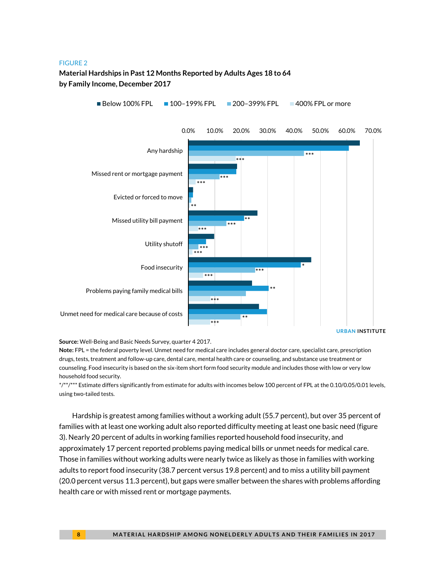#### FIGURE 2

### **Material Hardships in Past 12 Months Reported by Adults Ages 18 to 64 by Family Income, December 2017**



**Source:** Well-Being and Basic Needs Survey, quarter 4 2017.

**Note:** FPL = the federal poverty level. Unmet need for medical care includes general doctor care, specialist care, prescription drugs, tests, treatment and follow-up care, dental care, mental health care or counseling, and substance use treatment or counseling. Food insecurity is based on the six-item short form food security module and includes those with low or very low household food security.

\*/\*\*/\*\*\* Estimate differs significantly from estimate for adults with incomes below 100 percent of FPL at the 0.10/0.05/0.01 levels, using two-tailed tests.

Hardship is greatest among families without a working adult (55.7 percent), but over 35 percent of families with at least one working adult also reported difficulty meeting at least one basic need (figure 3). Nearly 20 percent of adults in working families reported household food insecurity, and approximately 17 percent reported problems paying medical bills or unmet needs for medical care. Those in families without working adults were nearly twice as likely as those in families with working adults to report food insecurity (38.7 percent versus 19.8 percent) and to miss a utility bill payment (20.0 percent versus 11.3 percent), but gaps were smaller between the shares with problems affording health care or with missed rent or mortgage payments.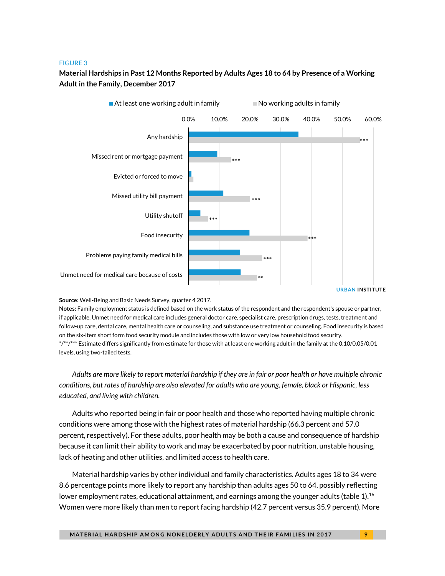#### FIGURE 3

### **Material Hardships in Past 12 Months Reported by Adults Ages 18 to 64 by Presence of a Working Adult in the Family, December 2017**



**Source:** Well-Being and Basic Needs Survey, quarter 4 2017.

**Notes:** Family employment status is defined based on the work status of the respondent and the respondent's spouse or partner, if applicable. Unmet need for medical care includes general doctor care, specialist care, prescription drugs, tests, treatment and follow-up care, dental care, mental health care or counseling, and substance use treatment or counseling. Food insecurity is based on the six-item short form food security module and includes those with low or very low household food security. \*/\*\*/\*\*\* Estimate differs significantly from estimate for those with at least one working adult in the family at the 0.10/0.05/0.01 levels, using two-tailed tests.

*Adults are more likely to report material hardship if they are in fair or poor health or have multiple chronic conditions, but rates of hardship are also elevated for adults who are young, female, black or Hispanic, less educated, and living with children.* 

Adults who reported being in fair or poor health and those who reported having multiple chronic conditions were among those with the highest rates of material hardship (66.3 percent and 57.0 percent, respectively). For these adults, poor health may be both a cause and consequence of hardship because it can limit their ability to work and may be exacerbated by poor nutrition, unstable housing, lack of heating and other utilities, and limited access to health care.

Material hardship varies by other individual and family characteristics. Adults ages 18 to 34 were 8.6 percentage points more likely to report any hardship than adults ages 50 to 64, possibly reflecting lower employment rates, educational attainment, and earnings among the younger adults (table 1).<sup>16</sup> Women were more likely than men to report facing hardship (42.7 percent versus 35.9 percent). More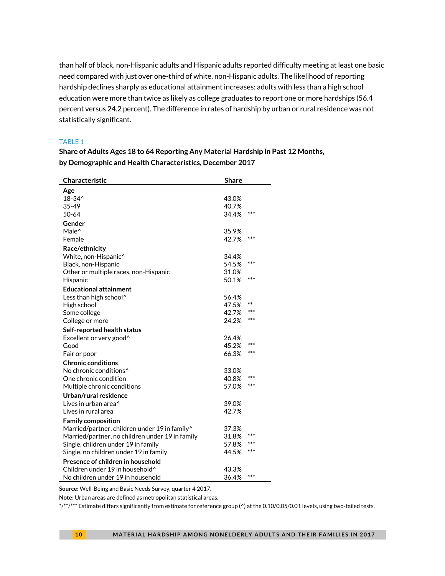than half of black, non-Hispanic adults and Hispanic adults reported difficulty meeting at least one basic need compared with just over one-third of white, non-Hispanic adults. The likelihood of reporting hardship declines sharply as educational attainment increases: adults with less than a high school education were more than twice as likely as college graduates to report one or more hardships (56.4 percent versus 24.2 percent). The difference in rates of hardship by urban or rural residence was not statistically significant.

#### TABLE 1

| Characteristic                                            | <b>Share</b> |       |
|-----------------------------------------------------------|--------------|-------|
| Age                                                       |              |       |
| $18 - 34^{\circ}$                                         | 43.0%        |       |
| 35-49                                                     | 40.7%        |       |
| 50-64                                                     | 34.4%        | ***   |
| Gender                                                    |              |       |
| Male <sup>^</sup>                                         | 35.9%        |       |
| Female                                                    | 42.7%        | ***   |
| Race/ethnicity                                            |              |       |
| White, non-Hispanic^                                      | 34.4%        |       |
| Black, non-Hispanic                                       | 54.5%        | ***   |
| Other or multiple races, non-Hispanic                     | 31.0%        |       |
| Hispanic                                                  | 50.1%        | ***   |
| <b>Educational attainment</b>                             |              |       |
| Less than high school^                                    | 56.4%        |       |
| High school                                               | 47.5%        | $***$ |
| Some college                                              | 42.7%        | ***   |
| College or more                                           | 24.2%        | ***   |
| Self-reported health status                               |              |       |
| Excellent or very good <sup>^</sup>                       | 26.4%        |       |
| Good                                                      | 45.2%        | ***   |
| Fair or poor                                              | 66.3%        | ***   |
| <b>Chronic conditions</b>                                 |              |       |
| No chronic conditions <sup>^</sup>                        | 33.0%        |       |
| One chronic condition                                     | 40.8%        | ***   |
| Multiple chronic conditions                               | 57.0%        | ***   |
| Urban/rural residence                                     |              |       |
| Lives in urban area^                                      | 39.0%        |       |
| Lives in rural area                                       | 42.7%        |       |
| <b>Family composition</b>                                 |              |       |
| Married/partner, children under 19 in family <sup>^</sup> | 37.3%        |       |
| Married/partner, no children under 19 in family           | 31.8%        | ***   |
| Single, children under 19 in family                       | 57.8%        | ***   |
| Single, no children under 19 in family                    | 44.5%        | ***   |
| Presence of children in household                         |              |       |
| Children under 19 in household <sup>^</sup>               | 43.3%        |       |
| No children under 19 in household                         | 36.4%        | $***$ |

**Share of Adults Ages 18 to 64 Reporting Any Material Hardship in Past 12 Months, by Demographic and Health Characteristics, December 2017**

**Source:** Well-Being and Basic Needs Survey, quarter 4 2017.

**Note:** Urban areas are defined as metropolitan statistical areas.

\*/\*\*/\*\*\* Estimate differs significantly from estimate for reference group (^) at the 0.10/0.05/0.01 levels, using two-tailed tests.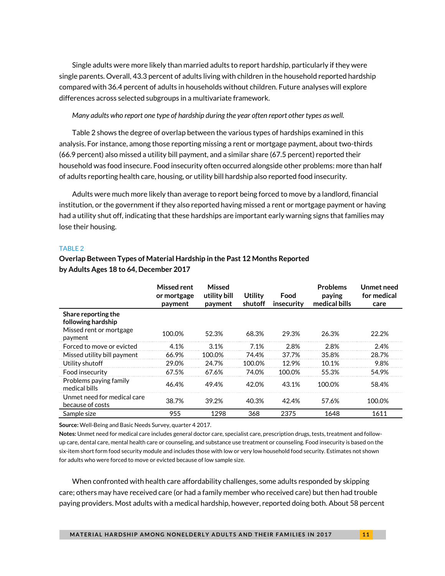Single adults were more likely than married adults to report hardship, particularly if they were single parents. Overall, 43.3 percent of adults living with children in the household reported hardship compared with 36.4 percent of adults in households without children. Future analyses will explore differences across selected subgroups in a multivariate framework.

*Many adults who report one type of hardship during the year often report other types as well.* 

Table 2 shows the degree of overlap between the various types of hardships examined in this analysis. For instance, among those reporting missing a rent or mortgage payment, about two-thirds (66.9 percent) also missed a utility bill payment, and a similar share (67.5 percent) reported their household was food insecure. Food insecurity often occurred alongside other problems: more than half of adults reporting health care, housing, or utility bill hardship also reported food insecurity.

Adults were much more likely than average to report being forced to move by a landlord, financial institution, or the government if they also reported having missed a rent or mortgage payment or having had a utility shut off, indicating that these hardships are important early warning signs that families may lose their housing.

#### TABLE 2

### **Overlap Between Types of Material Hardship in the Past 12 Months Reported by Adults Ages 18 to 64, December 2017**

|                                                                                 | Missed rent<br>or mortgage<br>payment | <b>Missed</b><br>utility bill<br>payment | Utility<br>shutoff | Food<br>insecurity | <b>Problems</b><br>paying<br>medical bills | Unmet need<br>for medical<br>care |
|---------------------------------------------------------------------------------|---------------------------------------|------------------------------------------|--------------------|--------------------|--------------------------------------------|-----------------------------------|
| Share reporting the<br>following hardship<br>Missed rent or mortgage<br>payment | 100.0%                                | 52.3%                                    | 68.3%              | 29.3%              | 26.3%                                      | 22.2%                             |
| Forced to move or evicted                                                       | 4.1%                                  | 3.1%                                     | 7.1%               | 2.8%               | 2.8%                                       | 2.4%                              |
| Missed utility bill payment                                                     | 66.9%                                 | 100.0%                                   | 74.4%              | 37.7%              | 35.8%                                      | 28.7%                             |
| Utility shutoff                                                                 | 29.0%                                 | 24.7%                                    | 100.0%             | 12.9%              | 10.1%                                      | 9.8%                              |
| Food insecurity                                                                 | 67.5%                                 | 67.6%                                    | 74.0%              | 100.0%             | 55.3%                                      | 54.9%                             |
| Problems paying family<br>medical bills                                         | 46.4%                                 | 49.4%                                    | 42.0%              | 43.1%              | 100.0%                                     | 58.4%                             |
| Unmet need for medical care<br>because of costs                                 | 38.7%                                 | 39.2%                                    | 40.3%              | 42.4%              | 57.6%                                      | 100.0%                            |
| Sample size                                                                     | 955                                   | 1298                                     | 368                | 2375               | 1648                                       | 1611                              |

**Source:** Well-Being and Basic Needs Survey, quarter 4 2017.

**Notes:** Unmet need for medical care includes general doctor care, specialist care, prescription drugs, tests, treatment and followup care, dental care, mental health care or counseling, and substance use treatment or counseling. Food insecurity is based on the six-item short form food security module and includes those with low or very low household food security. Estimates not shown for adults who were forced to move or evicted because of low sample size.

When confronted with health care affordability challenges, some adults responded by skipping care; others may have received care (or had a family member who received care) but then had trouble paying providers. Most adults with a medical hardship, however, reported doing both. About 58 percent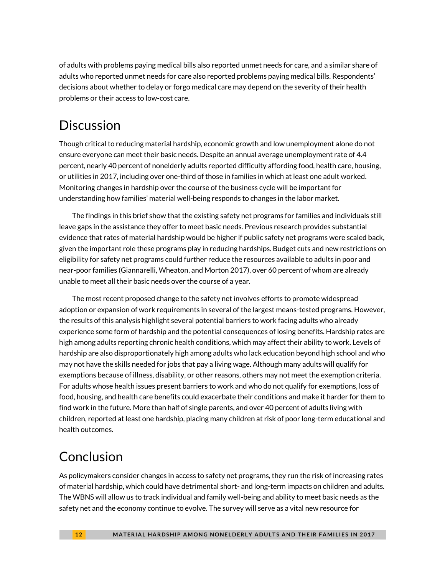of adults with problems paying medical bills also reported unmet needs for care, and a similar share of adults who reported unmet needs for care also reported problems paying medical bills. Respondents' decisions about whether to delay or forgo medical care may depend on the severity of their health problems or their access to low-cost care.

# **Discussion**

Though critical to reducing material hardship, economic growth and low unemployment alone do not ensure everyone can meet their basic needs. Despite an annual average unemployment rate of 4.4 percent, nearly 40 percent of nonelderly adults reported difficulty affording food, health care, housing, or utilities in 2017, including over one-third of those in families in which at least one adult worked. Monitoring changes in hardship over the course of the business cycle will be important for understanding how families' material well-being responds to changes in the labor market.

The findings in this brief show that the existing safety net programs for families and individuals still leave gaps in the assistance they offer to meet basic needs. Previous research provides substantial evidence that rates of material hardship would be higher if public safety net programs were scaled back, given the important role these programs play in reducing hardships. Budget cuts and new restrictions on eligibility for safety net programs could further reduce the resources available to adults in poor and near-poor families (Giannarelli, Wheaton, and Morton 2017), over 60 percent of whom are already unable to meet all their basic needs over the course of a year.

The most recent proposed change to the safety net involves efforts to promote widespread adoption or expansion of work requirements in several of the largest means-tested programs. However, the results of this analysis highlight several potential barriers to work facing adults who already experience some form of hardship and the potential consequences of losing benefits. Hardship rates are high among adults reporting chronic health conditions, which may affect their ability to work. Levels of hardship are also disproportionately high among adults who lack education beyond high school and who may not have the skills needed for jobs that pay a living wage. Although many adults will qualify for exemptions because of illness, disability, or other reasons, others may not meet the exemption criteria. For adults whose health issues present barriers to work and who do not qualify for exemptions, loss of food, housing, and health care benefits could exacerbate their conditions and make it harder for them to find work in the future. More than half of single parents, and over 40 percent of adults living with children, reported at least one hardship, placing many children at risk of poor long-term educational and health outcomes.

# Conclusion

As policymakers consider changes in access to safety net programs, they run the risk of increasing rates of material hardship, which could have detrimental short- and long-term impacts on children and adults. The WBNS will allow us to track individual and family well-being and ability to meet basic needs as the safety net and the economy continue to evolve. The survey will serve as a vital new resource for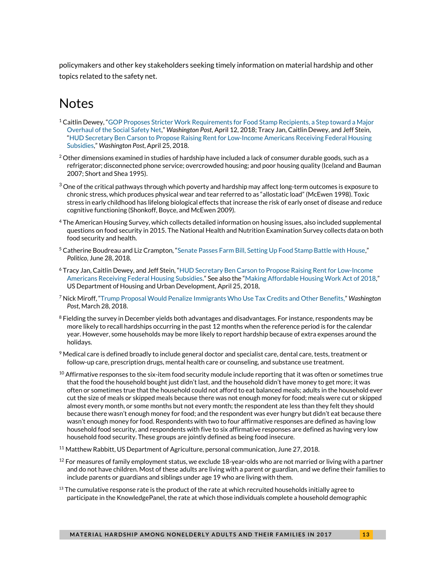policymakers and other key stakeholders seeking timely information on material hardship and other topics related to the safety net.

# Notes

- <sup>1</sup> Caitlin Dewey, "GOP Proposes Stricter Work Requirements for Food Stamp Recipients, a Step toward a Major [Overhaul of the Social Safety Net](https://www.washingtonpost.com/news/wonk/wp/2018/04/12/gop-proposes-stricter-work-requirements-for-food-stamp-recipients-a-step-toward-a-major-overhaul-of-the-social-safety-net)," *Washington Post*, April 12, 2018; Tracy Jan, Caitlin Dewey, and Jeff Stein, "[HUD Secretary Ben Carson to Propose Raising Rent for Low-Income Americans Receiving Federal Housing](https://www.washingtonpost.com/news/wonk/wp/2018/04/25/hud-secretary-ben-carson-to-propose-raising-rent-for-low-income-americans-receiving-federal-housing-subsidies)  [Subsidies](https://www.washingtonpost.com/news/wonk/wp/2018/04/25/hud-secretary-ben-carson-to-propose-raising-rent-for-low-income-americans-receiving-federal-housing-subsidies)," *Washington Post*, April 25, 2018.
- $^2$  Other dimensions examined in studies of hardship have included a lack of consumer durable goods, such as a refrigerator; disconnected phone service; overcrowded housing; and poor housing quality (Iceland and Bauman 2007; Short and Shea 1995).
- $^3$  One of the critical pathways through which poverty and hardship may affect long-term outcomes is exposure to chronic stress, which produces physical wear and tear referred to as "allostatic load" (McEwen 1998). Toxic stress in early childhood has lifelong biological effects that increase the risk of early onset of disease and reduce cognitive functioning (Shonkoff, Boyce, and McEwen 2009).
- <sup>4</sup> The American Housing Survey, which collects detailed information on housing issues, also included supplemental questions on food security in 2015. The National Health and Nutrition Examination Survey collects data on both food security and health.
- <sup>5</sup> Catherine Boudreau and Liz Crampton, "[Senate Passes Farm Bill, Setting Up Food Stamp Battle with House](https://www.politico.com/story/2018/06/28/senate-passes-farm-bill-683232)," *Politico*, June 28, 2018.
- <sup>6</sup> Tracy Jan, Caitlin Dewey, and Jeff Stein, "[HUD Secretary Ben Carson to Propose Raising Rent for Low-Income](https://www.washingtonpost.com/news/wonk/wp/2018/04/25/hud-secretary-ben-carson-to-propose-raising-rent-for-low-income-americans-receiving-federal-housing-subsidies)  [Americans Receiving Federal Housing Subsidies](https://www.washingtonpost.com/news/wonk/wp/2018/04/25/hud-secretary-ben-carson-to-propose-raising-rent-for-low-income-americans-receiving-federal-housing-subsidies)." See also the "[Making Affordable Housing Work Act of 2018](https://www.hud.gov/sites/dfiles/Main/documents/RentReformLegislativeText.pdf)," US Department of Housing and Urban Development, April 25, 2018,
- <sup>7</sup> Nick Miroff, "[Trump Proposal Would Penalize Immigrants Who Use Tax Credits and Other Benefits,](https://www.washingtonpost.com/world/national-security/trump-proposal-would-penalize-immigrants-who-use-tax-credits-and-other-benefits/2018/03/28/4c6392e0-2924-11e8-bc72-077aa4dab9ef_story.html)" *Washington Post*, March 28, 2018.
- $^8$  Fielding the survey in December yields both advantages and disadvantages. For instance, respondents may be more likely to recall hardships occurring in the past 12 months when the reference period is for the calendar year. However, some households may be more likely to report hardship because of extra expenses around the holidays.
- $9$  Medical care is defined broadly to include general doctor and specialist care, dental care, tests, treatment or follow-up care, prescription drugs, mental health care or counseling, and substance use treatment.
- $^{10}$  Affirmative responses to the six-item food security module include reporting that it was often or sometimes true that the food the household bought just didn't last, and the household didn't have money to get more; it was often or sometimes true that the household could not afford to eat balanced meals; adults in the household ever cut the size of meals or skipped meals because there was not enough money for food; meals were cut or skipped almost every month, or some months but not every month; the respondent ate less than they felt they should because there wasn't enough money for food; and the respondent was ever hungry but didn't eat because there wasn't enough money for food. Respondents with two to four affirmative responses are defined as having low household food security, and respondents with five to six affirmative responses are defined as having very low household food security. These groups are jointly defined as being food insecure.
- <sup>11</sup> Matthew Rabbitt, US Department of Agriculture, personal communication, June 27, 2018.
- $12$  For measures of family employment status, we exclude 18-year-olds who are not married or living with a partner and do not have children. Most of these adults are living with a parent or guardian, and we define their families to include parents or guardians and siblings under age 19 who are living with them.
- $^{13}$  The cumulative response rate is the product of the rate at which recruited households initially agree to participate in the KnowledgePanel, the rate at which those individuals complete a household demographic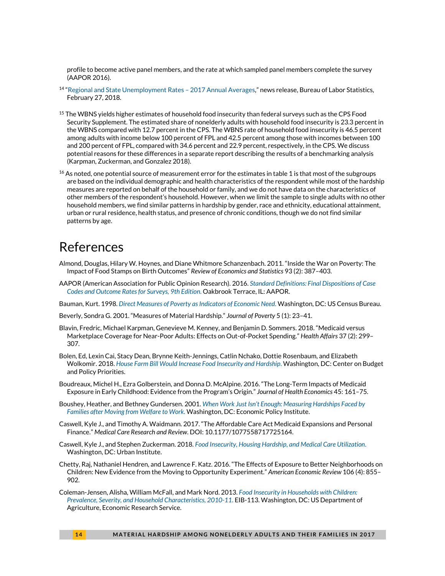profile to become active panel members, and the rate at which sampled panel members complete the survey (AAPOR 2016).

- <sup>14</sup> "[Regional and State Unemployment Rates](https://www.bls.gov/news.release/pdf/srgune.pdf)  2017 Annual Averages," news release, Bureau of Labor Statistics, February 27, 2018.
- <sup>15</sup> The WBNS yields higher estimates of household food insecurity than federal surveys such as the CPS Food Security Supplement. The estimated share of nonelderly adults with household food insecurity is 23.3 percent in the WBNS compared with 12.7 percent in the CPS. The WBNS rate of household food insecurity is 46.5 percent among adults with income below 100 percent of FPL and 42.5 percent among those with incomes between 100 and 200 percent of FPL, compared with 34.6 percent and 22.9 percent, respectively, in the CPS. We discuss potential reasons for these differences in a separate report describing the results of a benchmarking analysis (Karpman, Zuckerman, and Gonzalez 2018).
- $16$  As noted, one potential source of measurement error for the estimates in table 1 is that most of the subgroups are based on the individual demographic and health characteristics of the respondent while most of the hardship measures are reported on behalf of the household or family, and we do not have data on the characteristics of other members of the respondent's household. However, when we limit the sample to single adults with no other household members, we find similar patterns in hardship by gender, race and ethnicity, educational attainment, urban or rural residence, health status, and presence of chronic conditions, though we do not find similar patterns by age.

# References

- Almond, Douglas, Hilary W. Hoynes, and Diane Whitmore Schanzenbach. 2011. "Inside the War on Poverty: The Impact of Food Stamps on Birth Outcomes" *Review of Economics and Statistics* 93 (2): 387–403.
- AAPOR (American Association for Public Opinion Research). 2016. *[Standard Definitions: Final Dispositions of Case](https://www.aapor.org/AAPOR_Main/media/publications/Standard-Definitions20169theditionfinal.pdf)  [Codes and Outcome Rates for Surveys, 9th Edition](https://www.aapor.org/AAPOR_Main/media/publications/Standard-Definitions20169theditionfinal.pdf)*. Oakbrook Terrace, IL: AAPOR.
- Bauman, Kurt. 1998. *[Direct Measures of Poverty as Indicators of Economic Need](https://www.census.gov/population/www/documentation/twps0030/twps0030.html)*. Washington, DC: US Census Bureau.
- Beverly, Sondra G. 2001. "Measures of Material Hardship." *Journal of Poverty* 5 (1): 23–41.
- Blavin, Fredric, Michael Karpman, Genevieve M. Kenney, and Benjamin D. Sommers. 2018. "Medicaid versus Marketplace Coverage for Near-Poor Adults: Effects on Out-of-Pocket Spending." *Health Affairs* 37 (2): 299– 307.
- Bolen, Ed, Lexin Cai, Stacy Dean, Brynne Keith-Jennings, Catlin Nchako, Dottie Rosenbaum, and Elizabeth Wolkomir. 2018. *[House Farm Bill Would Increase Food Insecurity and Hardship](https://www.cbpp.org/research/food-assistance/house-farm-bill-would-increase-food-insecurity-and-hardship)*. Washington, DC: Center on Budget and Policy Priorities.
- Boudreaux, Michel H., Ezra Golberstein, and Donna D. McAlpine. 2016. "The Long-Term Impacts of Medicaid Exposure in Early Childhood: Evidence from the Program's Origin." *Journal of Health Economics* 45: 161–75.
- Boushey, Heather, and Bethney Gundersen. 2001. *When Work Just [Isn't Enough: Measuring Hardships Faced by](https://www.epi.org/publication/briefingpapers_hardships/)  [Families after Moving from Welfare to Work](https://www.epi.org/publication/briefingpapers_hardships/)*. Washington, DC: Economic Policy Institute.
- Caswell, Kyle J., and Timothy A. Waidmann. 2017. "The Affordable Care Act Medicaid Expansions and Personal Finance." *Medical Care Research and Review*. DOI: 10.1177/1077558717725164.
- Caswell, Kyle J., and Stephen Zuckerman. 2018. *[Food Insecurity, Housing Hardship, and Medical Care Utilization](https://www.urban.org/research/publication/food-insecurity-housing-hardship-and-medical-care-utilization)*. Washington, DC: Urban Institute.
- Chetty, Raj, Nathaniel Hendren, and Lawrence F. Katz. 2016. "The Effects of Exposure to Better Neighborhoods on Children: New Evidence from the Moving to Opportunity Experiment." *American Economic Review* 106 (4): 855– 902.
- Coleman-Jensen, Alisha, William McFall, and Mark Nord. 2013. *[Food Insecurity in Households with Children:](https://www.ers.usda.gov/publications/pub-details/?pubid=43765)  [Prevalence, Severity, and Household Characteristics, 2010-11](https://www.ers.usda.gov/publications/pub-details/?pubid=43765)*. EIB-113. Washington, DC: US Department of Agriculture, Economic Research Service.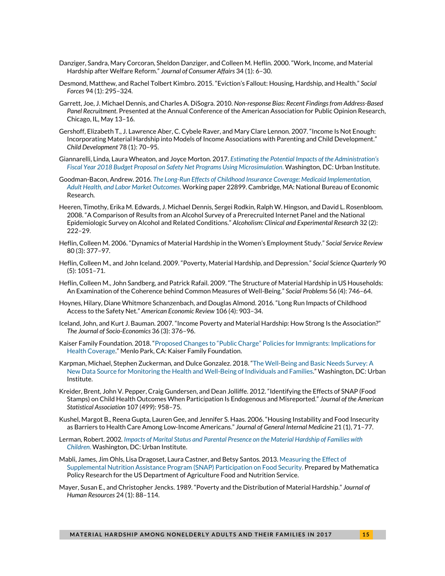- Danziger, Sandra, Mary Corcoran, Sheldon Danziger, and Colleen M. Heflin. 2000. "Work, Income, and Material Hardship after Welfare Reform." *Journal of Consumer Affairs* 34 (1): 6–30.
- Desmond, Matthew, and Rachel Tolbert Kimbro. 2015. "Eviction's Fallout: Housing, Hardship, and Health." *Social Forces* 94 (1): 295–324.
- Garrett, Joe, J. Michael Dennis, and Charles A. DiSogra. 2010. *Non-response Bias: Recent Findings from Address-Based Panel Recruitment*. Presented at the Annual Conference of the American Association for Public Opinion Research, Chicago, IL, May 13–16.
- Gershoff, Elizabeth T., J. Lawrence Aber, C. Cybele Raver, and Mary Clare Lennon. 2007. "Income Is Not Enough: Incorporating Material Hardship into Models of Income Associations with Parenting and Child Development." *Child Development* 78 (1): 70–95.
- Giannarelli, Linda, Laura Wheaton, and Joyce Morton. 2017. *[Estimating the Potential Impacts of the Administration's](https://www.urban.org/research/publication/estimating-potential-impacts-administrations-fiscal-year-2018-budget-proposal-safety-net-programs-using-microsimulation)  [Fiscal Year 2018 Budget Proposal on Safety Net Programs Using Microsimulation](https://www.urban.org/research/publication/estimating-potential-impacts-administrations-fiscal-year-2018-budget-proposal-safety-net-programs-using-microsimulation)*. Washington, DC: Urban Institute.
- Goodman-Bacon, Andrew. 2016. *[The Long-Run Effects of Childhood Insurance Coverage: Medicaid Implementation,](http://www.nber.org/papers/w22899)  [Adult Health, and Labor Market Outcomes](http://www.nber.org/papers/w22899)*. Working paper 22899. Cambridge, MA: National Bureau of Economic Research.
- Heeren, Timothy, Erika M. Edwards, J. Michael Dennis, Sergei Rodkin, Ralph W. Hingson, and David L. Rosenbloom. 2008. "A Comparison of Results from an Alcohol Survey of a Prerecruited Internet Panel and the National Epidemiologic Survey on Alcohol and Related Conditions." *Alcoholism: Clinical and Experimental Research* 32 (2): 222–29.
- Heflin, Colleen M. 2006. "Dynamics of Material Hardship in the Women's Employment Study." *Social Service Review* 80 (3): 377–97.
- Heflin, Colleen M., and John Iceland. 2009. "Poverty, Material Hardship, and Depression." *Social Science Quarterly* 90 (5): 1051–71.
- Heflin, Colleen M., John Sandberg, and Patrick Rafail. 2009. "The Structure of Material Hardship in US Households: An Examination of the Coherence behind Common Measures of Well-Being." *Social Problems* 56 (4): 746–64.
- Hoynes, Hilary, Diane Whitmore Schanzenbach, and Douglas Almond. 2016. "Long Run Impacts of Childhood Access to the Safety Net." *American Economic Review* 106 (4): 903–34.
- Iceland, John, and Kurt J. Bauman. 2007. "Income Poverty and Material Hardship: How Strong Is the Association?" *The Journal of Socio-Economics* 36 (3): 376–96.
- Kaiser Family Foundation. 2018. ["Proposed Changes to "Public Charge" Policies for Immigrants: Implications for](https://www.kff.org/disparities-policy/fact-sheet/proposed-changes-to-public-charge-policies-for-immigrants-implications-for-health-coverage/)  [Health Coverage](https://www.kff.org/disparities-policy/fact-sheet/proposed-changes-to-public-charge-policies-for-immigrants-implications-for-health-coverage/)." Menlo Park, CA: Kaiser Family Foundation.
- Karpman, Michael, Stephen Zuckerman, and Dulce Gonzalez. 2018. "[The Well-Being and Basic Needs Survey: A](https://edit.urban.org/research/publication/well-being-and-basic-needs-survey)  [New Data Source for Monitoring the Health and Well-Being of Individuals and Families.](https://edit.urban.org/research/publication/well-being-and-basic-needs-survey)" Washington, DC: Urban Institute.
- Kreider, Brent, John V. Pepper, Craig Gundersen, and Dean Jolliffe. 2012. "Identifying the Effects of SNAP (Food Stamps) on Child Health Outcomes When Participation Is Endogenous and Misreported." *Journal of the American Statistical Association* 107 (499): 958–75.
- Kushel, Margot B., Reena Gupta, Lauren Gee, and Jennifer S. Haas. 2006. "Housing Instability and Food Insecurity as Barriers to Health Care Among Low-Income Americans." *Journal of General Internal Medicine* 21 (1), 71–77.
- Lerman, Robert. 2002. *[Impacts of Marital Status and Parental Presence on the Material Hardship of Families with](https://www.urban.org/research/publication/impacts-marital-status-and-parental-presence-material-hardship-families-children)  [Children](https://www.urban.org/research/publication/impacts-marital-status-and-parental-presence-material-hardship-families-children)*. Washington, DC: Urban Institute.
- Mabli, James, Jim Ohls, Lisa Dragoset, Laura Castner, and Betsy Santos. 2013[. Measuring the Effect of](https://www.fns.usda.gov/measuring-effect-snap-participation-food-security-0)  [Supplemental Nutrition Assistance Program \(SNAP\) Participation on Food Security.](https://www.fns.usda.gov/measuring-effect-snap-participation-food-security-0) Prepared by Mathematica Policy Research for the US Department of Agriculture Food and Nutrition Service.
- Mayer, Susan E., and Christopher Jencks. 1989. "Poverty and the Distribution of Material Hardship." *Journal of Human Resources* 24 (1): 88–114.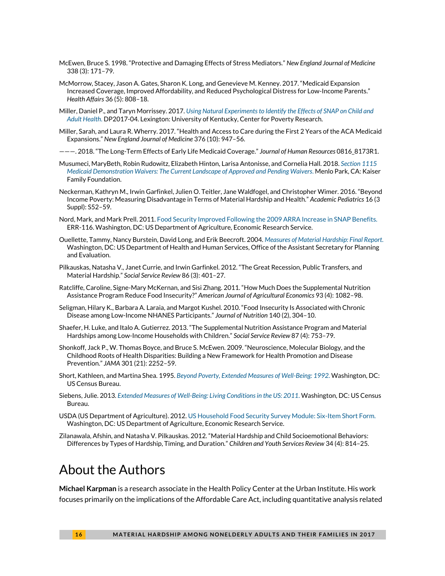- McEwen, Bruce S. 1998. "Protective and Damaging Effects of Stress Mediators." *New England Journal of Medicine* 338 (3): 171–79.
- McMorrow, Stacey, Jason A. Gates, Sharon K. Long, and Genevieve M. Kenney. 2017. "Medicaid Expansion Increased Coverage, Improved Affordability, and Reduced Psychological Distress for Low-Income Parents." *Health Affairs* 36 (5): 808–18.
- Miller, Daniel P., and Taryn Morrissey. 2017. *[Using Natural Experiments to Identify the Effects of SNAP on Child and](http://www.ukcpr.org/sites/www.ukcpr.org/files/documents/DP2017-04_Miller_Morrissey.pdf)  [Adult Health](http://www.ukcpr.org/sites/www.ukcpr.org/files/documents/DP2017-04_Miller_Morrissey.pdf)*. DP2017-04. Lexington: University of Kentucky, Center for Poverty Research.
- Miller, Sarah, and Laura R. Wherry. 2017. "Health and Access to Care during the First 2 Years of the ACA Medicaid Expansions." *New England Journal of Medicine* 376 (10): 947–56.
- ———. 2018. "The Long-Term Effects of Early Life Medicaid Coverage." *Journal of Human Resources* 0816\_8173R1.
- Musumeci, MaryBeth, Robin Rudowitz, Elizabeth Hinton, Larisa Antonisse, and Cornelia Hall. 2018. *[Section 1115](https://www.kff.org/medicaid/issue-brief/section-1115-medicaid-demonstration-waivers-the-current-landscape-of-approved-and-pending-waivers/)  [Medicaid Demonstration Waivers: The Current Landscape of Approved and Pending Waivers](https://www.kff.org/medicaid/issue-brief/section-1115-medicaid-demonstration-waivers-the-current-landscape-of-approved-and-pending-waivers/)*. Menlo Park, CA: Kaiser Family Foundation.
- Neckerman, Kathryn M., Irwin Garfinkel, Julien O. Teitler, Jane Waldfogel, and Christopher Wimer. 2016. "Beyond Income Poverty: Measuring Disadvantage in Terms of Material Hardship and Health." *Academic Pediatrics* 16 (3 Suppl): S52–59.
- Nord, Mark, and Mark Prell. 2011[. Food Security Improved Following the 2009 ARRA Increase in SNAP Benefits.](https://www.ers.usda.gov/publications/pub-details/?pubid=44839) ERR-116. Washington, DC: US Department of Agriculture, Economic Research Service.
- Ouellette, Tammy, Nancy Burstein, David Long, and Erik Beecroft. 2004. *[Measures of Material Hardship: Final Report](https://aspe.hhs.gov/report/measures-material-hardship-final-report)*. Washington, DC: US Department of Health and Human Services, Office of the Assistant Secretary for Planning and Evaluation.
- Pilkauskas, Natasha V., Janet Currie, and Irwin Garfinkel. 2012. "The Great Recession, Public Transfers, and Material Hardship." *Social Service Review* 86 (3): 401–27.
- Ratcliffe, Caroline, Signe-Mary McKernan, and Sisi Zhang. 2011. "How Much Does the Supplemental Nutrition Assistance Program Reduce Food Insecurity?" *American Journal of Agricultural Economics* 93 (4): 1082–98.
- Seligman, Hilary K., Barbara A. Laraia, and Margot Kushel. 2010. "Food Insecurity Is Associated with Chronic Disease among Low-Income NHANES Participants." *Journal of Nutrition* 140 (2), 304–10.
- Shaefer, H. Luke, and Italo A. Gutierrez. 2013. "The Supplemental Nutrition Assistance Program and Material Hardships among Low-Income Households with Children." *Social Service Review* 87 (4): 753–79.
- Shonkoff, Jack P., W. Thomas Boyce, and Bruce S. McEwen. 2009. "Neuroscience, Molecular Biology, and the Childhood Roots of Health Disparities: Building a New Framework for Health Promotion and Disease Prevention." *JAMA* 301 (21): 2252–59.
- Short, Kathleen, and Martina Shea. 1995. *[Beyond Poverty, Extended Measures of Well-Being: 1992](https://www.census.gov/prod/1/pop/p70-50rv.pdf)*. Washington, DC: US Census Bureau.
- Siebens, Julie. 2013. *[Extended Measures of Well-Being: Living Conditions in the US: 2011](https://www.census.gov/library/publications/2013/demo/p70-136.html)*. Washington, DC: US Census Bureau.
- USDA (US Department of Agriculture). 2012. [US Household Food Security Survey Module: Six-Item Short Form.](https://www.ers.usda.gov/media/8282/short2012.pdf) Washington, DC: US Department of Agriculture, Economic Research Service.
- Zilanawala, Afshin, and Natasha V. Pilkauskas. 2012. "Material Hardship and Child Socioemotional Behaviors: Differences by Types of Hardship, Timing, and Duration." *Children and Youth Services Review* 34 (4): 814–25.

# About the Authors

**Michael Karpman** is a research associate in the Health Policy Center at the Urban Institute. His work focuses primarily on the implications of the Affordable Care Act, including quantitative analysis related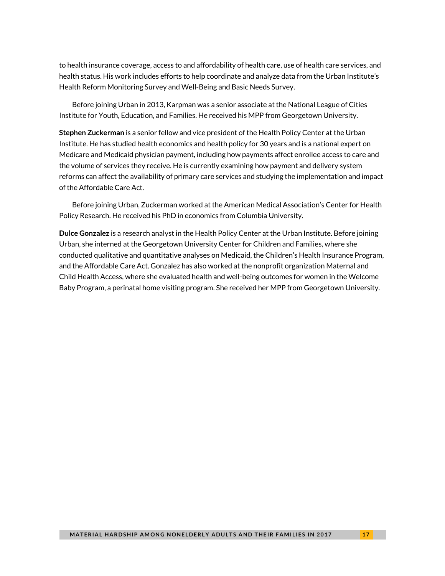to health insurance coverage, access to and affordability of health care, use of health care services, and health status. His work includes efforts to help coordinate and analyze data from the Urban Institute's Health Reform Monitoring Survey and Well-Being and Basic Needs Survey.

Before joining Urban in 2013, Karpman was a senior associate at the National League of Cities Institute for Youth, Education, and Families. He received his MPP from Georgetown University.

**Stephen Zuckerman** is a senior fellow and vice president of the Health Policy Center at the Urban Institute. He has studied health economics and health policy for 30 years and is a national expert on Medicare and Medicaid physician payment, including how payments affect enrollee access to care and the volume of services they receive. He is currently examining how payment and delivery system reforms can affect the availability of primary care services and studying the implementation and impact of the Affordable Care Act.

Before joining Urban, Zuckerman worked at the American Medical Association's Center for Health Policy Research. He received his PhD in economics from Columbia University.

**Dulce Gonzalez** is a research analyst in the Health Policy Center at the Urban Institute. Before joining Urban, she interned at the Georgetown University Center for Children and Families, where she conducted qualitative and quantitative analyses on Medicaid, the Children's Health Insurance Program, and the Affordable Care Act. Gonzalez has also worked at the nonprofit organization Maternal and Child Health Access, where she evaluated health and well-being outcomes for women in the Welcome Baby Program, a perinatal home visiting program. She received her MPP from Georgetown University.